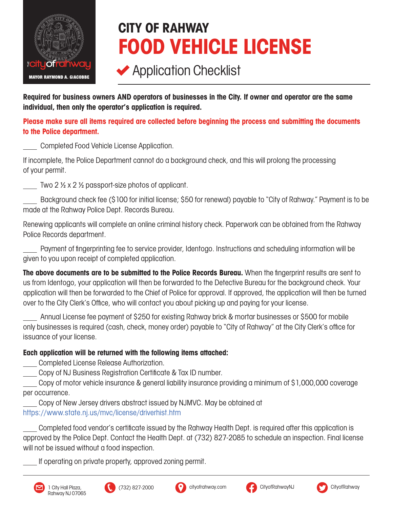

## CITY OF RAHWAY FOOD VEHICLE LICENSE

## **◆ Application Checklist**

Required for business owners AND operators of businesses in the City. If owner and operator are the same individual, then only the operator's application is required.

Please make sure all items required are collected before beginning the process and submitting the documents to the Police department.

 Completed Food Vehicle License Application.

If incomplete, the Police Department cannot do a background check, and this will prolong the processing of your permit.

Two 2  $\frac{1}{2}$  x 2  $\frac{1}{2}$  passport-size photos of applicant.

 Background check fee (\$100 for initial license; \$50 for renewal) payable to "City of Rahway." Payment is to be made at the Rahway Police Dept. Records Bureau.

Renewing applicants will complete an online criminal history check. Paperwork can be obtained from the Rahway Police Records department.

 Payment of fingerprinting fee to service provider, Identogo. Instructions and scheduling information will be given to you upon receipt of completed application.

The above documents are to be submitted to the Police Records Bureau. When the fingerprint results are sent to us from Identogo, your application will then be forwarded to the Detective Bureau for the background check. Your application will then be forwarded to the Chief of Police for approval. If approved, the application will then be turned over to the City Clerk's Office, who will contact you about picking up and paying for your license.

 Annual License fee payment of \$250 for existing Rahway brick & mortar businesses or \$500 for mobile only businesses is required (cash, check, money order) payable to "City of Rahway" at the City Clerk's office for issuance of your license.

Each application will be returned with the following items attached:

Completed License Release Authorization.

Copy of NJ Business Registration Certificate & Tax ID number.

Copy of motor vehicle insurance & general liability insurance providing a minimum of \$1,000,000 coverage per occurrence.

Copy of New Jersey drivers abstract issued by NJMVC. May be obtained at https://www.state.nj.us/mvc/license/driverhist.htm

Completed food vendor's certificate issued by the Rahway Health Dept. is required after this application is approved by the Police Dept. Contact the Health Dept. at (732) 827-2085 to schedule an inspection.Final license will not be issued without a food inspection.

If operating on private property, approved zoning permit.







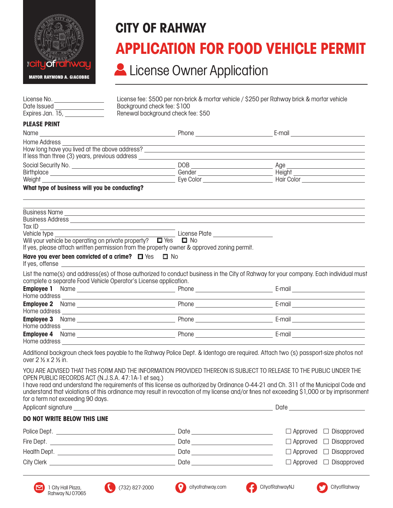

## CITY OF RAHWAY APPLICATION FOR FOOD VEHICLE PERMIT

## **License Owner Application**

| License No. ________________                     |                                                                                                                                                                                                                                                                                                                                                                                                                                                              | License fee: \$500 per non-brick & mortar vehicle / \$250 per Rahway brick & mortar vehicle                                                                                                                                    |                                                             |  |
|--------------------------------------------------|--------------------------------------------------------------------------------------------------------------------------------------------------------------------------------------------------------------------------------------------------------------------------------------------------------------------------------------------------------------------------------------------------------------------------------------------------------------|--------------------------------------------------------------------------------------------------------------------------------------------------------------------------------------------------------------------------------|-------------------------------------------------------------|--|
| Date Issued ________________<br>Expires Jan. 15, | Background check fee: \$100<br>Renewal background check fee: \$50                                                                                                                                                                                                                                                                                                                                                                                            |                                                                                                                                                                                                                                |                                                             |  |
| <b>PLEASE PRINT</b>                              |                                                                                                                                                                                                                                                                                                                                                                                                                                                              |                                                                                                                                                                                                                                |                                                             |  |
|                                                  |                                                                                                                                                                                                                                                                                                                                                                                                                                                              |                                                                                                                                                                                                                                | E-mail ______ _______________________                       |  |
| Home Address                                     |                                                                                                                                                                                                                                                                                                                                                                                                                                                              |                                                                                                                                                                                                                                |                                                             |  |
|                                                  |                                                                                                                                                                                                                                                                                                                                                                                                                                                              |                                                                                                                                                                                                                                |                                                             |  |
|                                                  |                                                                                                                                                                                                                                                                                                                                                                                                                                                              | $DOB$ $Age$                                                                                                                                                                                                                    |                                                             |  |
|                                                  |                                                                                                                                                                                                                                                                                                                                                                                                                                                              |                                                                                                                                                                                                                                |                                                             |  |
| What type of business will you be conducting?    |                                                                                                                                                                                                                                                                                                                                                                                                                                                              |                                                                                                                                                                                                                                |                                                             |  |
|                                                  | Business Name experience and the contract of the contract of the contract of the contract of the contract of the contract of the contract of the contract of the contract of the contract of the contract of the contract of t                                                                                                                                                                                                                               |                                                                                                                                                                                                                                |                                                             |  |
|                                                  |                                                                                                                                                                                                                                                                                                                                                                                                                                                              |                                                                                                                                                                                                                                |                                                             |  |
| Tax ID                                           |                                                                                                                                                                                                                                                                                                                                                                                                                                                              |                                                                                                                                                                                                                                |                                                             |  |
|                                                  | venicie type<br>Will your vehicle be operating on private property? ■ Yes ■ No<br>If yos, ploges attach written                                                                                                                                                                                                                                                                                                                                              |                                                                                                                                                                                                                                |                                                             |  |
|                                                  | If yes, please attach written permission from the property owner & approved zoning permit.                                                                                                                                                                                                                                                                                                                                                                   |                                                                                                                                                                                                                                |                                                             |  |
|                                                  | Have you ever been convicted of a crime? $\Box$ Yes $\Box$ No<br>If yes, offense experience and the set of the set of the set of the set of the set of the set of the set of the set of the set of the set of the set of the set of the set of the set of the set of the set of the set of the                                                                                                                                                               |                                                                                                                                                                                                                                |                                                             |  |
|                                                  | List the name(s) and address(es) of those authorized to conduct business in the City of Rahway for your company. Each individual must                                                                                                                                                                                                                                                                                                                        |                                                                                                                                                                                                                                |                                                             |  |
|                                                  | complete a separate Food Vehicle Operator's License application.                                                                                                                                                                                                                                                                                                                                                                                             |                                                                                                                                                                                                                                |                                                             |  |
|                                                  |                                                                                                                                                                                                                                                                                                                                                                                                                                                              |                                                                                                                                                                                                                                |                                                             |  |
|                                                  | Home address experience and the second contract of the second contract of the second contract of the second contract of the second contract of the second contract of the second contract of the second contract of the second                                                                                                                                                                                                                               |                                                                                                                                                                                                                                |                                                             |  |
|                                                  |                                                                                                                                                                                                                                                                                                                                                                                                                                                              |                                                                                                                                                                                                                                |                                                             |  |
|                                                  |                                                                                                                                                                                                                                                                                                                                                                                                                                                              |                                                                                                                                                                                                                                | the control of the control of the control of the control of |  |
|                                                  |                                                                                                                                                                                                                                                                                                                                                                                                                                                              |                                                                                                                                                                                                                                |                                                             |  |
|                                                  | Home address experience and the second contract of the second contract of the second contract of the second contract of the second contract of the second contract of the second contract of the second contract of the second                                                                                                                                                                                                                               |                                                                                                                                                                                                                                |                                                             |  |
|                                                  | Home address <b>Andrea</b> Contract and The Contract of the Contract of the Contract of the Contract of the Contract of the Contract of the Contract of the Contract of the Contract of the Contract of the Contract of the Contrac                                                                                                                                                                                                                          |                                                                                                                                                                                                                                |                                                             |  |
| over 2 % x 2 % in.                               | Additional backgroun check fees payable to the Rahway Police Dept. & Identogo are required. Attach two (s) passport-size photos not                                                                                                                                                                                                                                                                                                                          |                                                                                                                                                                                                                                |                                                             |  |
| for a term not exceeding 90 days.                | YOU ARE ADVISED THAT THIS FORM AND THE INFORMATION PROVIDED THEREON IS SUBJECT TO RELEASE TO THE PUBLIC UNDER THE<br>OPEN PUBLIC RECORDS ACT (N.J.S.A. 47:1A-1 et seq.)<br>I have read and understand the requirements of this license as authorized by Ordinance O-44-21 and Ch. 311 of the Municipal Code and<br>understand that violations of this ordinance may result in revocation of my license and/or fines not exceeding \$1,000 or by imprisonment |                                                                                                                                                                                                                                |                                                             |  |
|                                                  | Applicant signature experience and a strategies of the strategies of the strategies of the strategies of the strategies of the strategies of the strategies of the strategies of the strategies of the strategies of the strat                                                                                                                                                                                                                               |                                                                                                                                                                                                                                |                                                             |  |
| DO NOT WRITE BELOW THIS LINE                     |                                                                                                                                                                                                                                                                                                                                                                                                                                                              |                                                                                                                                                                                                                                |                                                             |  |
|                                                  |                                                                                                                                                                                                                                                                                                                                                                                                                                                              |                                                                                                                                                                                                                                | $\Box$ Approved $\Box$ Disapproved                          |  |
|                                                  |                                                                                                                                                                                                                                                                                                                                                                                                                                                              |                                                                                                                                                                                                                                | $\Box$ Approved $\Box$ Disapproved                          |  |
|                                                  |                                                                                                                                                                                                                                                                                                                                                                                                                                                              | Date and the contract of the contract of the contract of the contract of the contract of the contract of the contract of the contract of the contract of the contract of the contract of the contract of the contract of the c | $\Box$ Approved $\Box$ Disapproved                          |  |

 $\Box$  Approved  $\Box$  Disapproved

 $\Box$  Approved  $\Box$  Disapproved



City Clerk Later and Contract City Clerk Later and Contract City Clerk Later and Contract City Clerk Later and Contract City Clerk Later and Contract City Clerk Later and Contract City Clerk Later and Contract City Clerk L





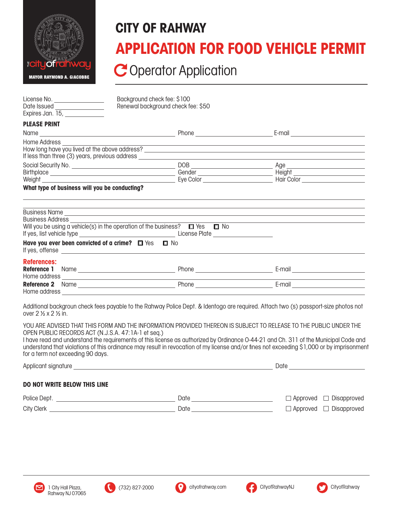

## CITY OF RAHWAY APPLICATION FOR FOOD VEHICLE PERMIT

C Operator Application

| License No. __________________                                  | Background check fee: \$100                                                                                                                                                                                                                                                                     |                                                                                                                                                                                                                                |  |  |  |
|-----------------------------------------------------------------|-------------------------------------------------------------------------------------------------------------------------------------------------------------------------------------------------------------------------------------------------------------------------------------------------|--------------------------------------------------------------------------------------------------------------------------------------------------------------------------------------------------------------------------------|--|--|--|
| Date Issued _________________<br>Expires Jan. 15, _____________ | Renewal background check fee: \$50                                                                                                                                                                                                                                                              |                                                                                                                                                                                                                                |  |  |  |
| <b>PLEASE PRINT</b>                                             |                                                                                                                                                                                                                                                                                                 |                                                                                                                                                                                                                                |  |  |  |
|                                                                 |                                                                                                                                                                                                                                                                                                 |                                                                                                                                                                                                                                |  |  |  |
| Home Address                                                    |                                                                                                                                                                                                                                                                                                 |                                                                                                                                                                                                                                |  |  |  |
|                                                                 |                                                                                                                                                                                                                                                                                                 |                                                                                                                                                                                                                                |  |  |  |
|                                                                 |                                                                                                                                                                                                                                                                                                 |                                                                                                                                                                                                                                |  |  |  |
| What type of business will you be conducting?                   |                                                                                                                                                                                                                                                                                                 |                                                                                                                                                                                                                                |  |  |  |
| <b>Business Address</b>                                         |                                                                                                                                                                                                                                                                                                 | Business Name experience and the second contract of the second contract of the second contract of the second contract of the second contract of the second contract of the second contract of the second contract of the secon |  |  |  |
|                                                                 | Will you be using a vehicle(s) in the operation of the business? $\square$ Yes $\square$ No                                                                                                                                                                                                     |                                                                                                                                                                                                                                |  |  |  |
|                                                                 | Have you ever been convicted of a crime? $\Box$ Yes $\Box$ No<br>If yes, offense and the state of the state of the state of the state of the state of the state of the state of the state of the state of the state of the state of the state of the state of the state of the state of the sta |                                                                                                                                                                                                                                |  |  |  |
| <b>References:</b>                                              |                                                                                                                                                                                                                                                                                                 |                                                                                                                                                                                                                                |  |  |  |
|                                                                 |                                                                                                                                                                                                                                                                                                 |                                                                                                                                                                                                                                |  |  |  |
|                                                                 |                                                                                                                                                                                                                                                                                                 |                                                                                                                                                                                                                                |  |  |  |
|                                                                 |                                                                                                                                                                                                                                                                                                 |                                                                                                                                                                                                                                |  |  |  |

Additional backgroun check fees payable to the Rahway Police Dept. & Identogo are required. Attach two (s) passport-size photos not over  $2 \frac{1}{2} \times 2 \frac{1}{2}$  in.

YOU ARE ADVISED THAT THIS FORM AND THE INFORMATION PROVIDED THEREON IS SUBJECT TO RELEASE TO THE PUBLIC UNDER THE OPEN PUBLIC RECORDS ACT (N.J.S.A. 47:1A-1 et seq.)

I have read and understand the requirements of this license as authorized by Ordinance O-44-21 and Ch. 311 of the Municipal Code and understand that violations of this ordinance may result in revocation of my license and/or fines not exceeding \$1,000 or by imprisonment for a term not exceeding 90 days.

Applicant signature experiments and the set of the set of the set of the set of the set of the set of the set of the set of the set of the set of the set of the set of the set of the set of the set of the set of the set of Police Dept. Date City Clerk Date DO NOT WRITE BELOW THIS LINE  $\Box$  Approved  $\Box$  Disapproved □ Approved □ Disapproved



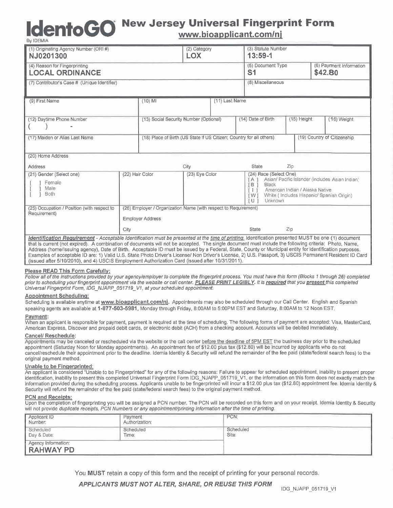# **Idento GO**

#### **New Jersey Universal Fingerprint Form** www.bioapplicant.com/nj

(3) Statute Number (1) Originating Agency Number (ORI #) (2) Category NJ0201300 **LOX**  $13:59-1$ (4) Reason for Fingerprinting (5) Document Type (6) Payment Information  $S<sub>1</sub>$ \$42.80 **LOCAL ORDINANCE** (8) Miscellaneous (7) Contributor's Case # (Unique Identifier) (9) First Name (11) Last Name  $(10)$  MI (12) Daytime Phone Number (16) Weight (13) Social Security Number (Optional) (14) Date of Birth (15) Height Λ (18) Place of Birth (US State if US Citizen; Country for all others) (17) Maiden or Alias Last Name (19) Country of Citizenship (20) Home Address State Zin Address City (24) Race (Select One) (21) Gender (Select one) (22) Hair Color (23) Eye Color Asian/ Pacific Islander (includes Asian Indian) Α Female  $\,$  B Black Male T American Indian / Alaska Native **Both** i wi White (Includes Hispanic/Spanish Origin) Unknown ËU. (25) Occupation / Position (with respect to (26) Employer / Organization Name (with respect to Requirement) Requirement) **Employer Address** City State Zip Identification Requirement - Acceptable Identification must be presented at the time of printing. Identification presented MUST be one (1) document that is current (not expired). A combination of documents will not be accepted. The single document must include the following criteria: Photo, Name,

Address (home/Issuing agency), Date of Birth. Acceptable ID must be issued by a Federal, State, County or Municipal entity for identification purposes. Examples of acceptable ID are: 1) Valid U.S. State Photo Driver's License/ Non Driver's License, 2) U.S. Passport, 3) USCIS Permanent Resident ID Card (issued after 5/10/2010), and 4) USCIS Employment Authorization Card (issued after 10/31/2011).

#### Please READ This Form Carefully:

Follow all of the instructions provided by your agency/employer to complete the fingerprint process. You must have this form (Blocks 1 through 26) completed prior to scheduling your fingerprint appointment via the website or call center. PLEASE PRINT LEGIBLY. It is required that you present this completed Universal Fingerprint Form, IDG\_NJAPP\_051719\_V1, at your scheduled appointment.

#### **Appointment Scheduling:**

Scheduling is available anytime at www.bioapplicant.com/nj. Appointments may also be scheduled through our Call Center. English and Spanish speaking agents are available at 1-877-503-5981. Monday through Friday, 8:00AM to 5:00PM EST and Saturday, 8:00AM to 12 Noon EST.

#### Payment:

When an applicant is responsible for payment, payment is required at the time of scheduling. The following forms of payment are accepted: Visa, MasterCard, American Express, Discover and prepaid debit cards, or electronic debit (ACH) from a checking account. Accounts will be debited immediately.

#### Cancel/ Reschedule:

Appointments may be canceled or rescheduled via the website or the call center before the deadline of 5PM EST the business day prior to the scheduled appointment (Saturday Noon for Monday appointments). An appointment fee of \$12.00 plus tax (\$12.80) will be incurred by applicants who do not cancel/reschedule their appointment prior to the deadline. Idemia Identity & Security will refund the remainder of the fee paid (state/federal search fees) to the original payment method.

#### Unable to be Fingerprinted:

An applicant is considered "Unable to be Fingerprinted" for any of the following reasons: Failure to appear for scheduled appointment, inability to present proper identification, inability to present this completed Universal Fingerprint Form IDG\_NJAPP\_051719\_V1, or the information on this form does not exactly match the information provided during the scheduling process. Applicants unable to be fingerprinted will incur a \$12.00 plus tax (\$12.80) appointment fee. Idemia Identity & Security will refund the remainder of the fee paid (state/federal search fees) to the original payment method.

#### **PCN and Receipts:**

Upon the completion of fingerprinting you will be assigned a PCN number. The PCN will be recorded on this form and on your receipt. Idemia Identity & Security will not provide duplicate receipts, PCN Numbers or any appointment/printing information after the time of printing.

| Applicant ID<br>Number:                 | Payment<br>Authorization: | PCN:               |
|-----------------------------------------|---------------------------|--------------------|
| Scheduled<br>Day & Date:                | Scheduled<br>Time:        | Scheduled<br>Site: |
| Agency Information:<br><b>RAHWAY PD</b> |                           |                    |

You MUST retain a copy of this form and the receipt of printing for your personal records.

#### **APPLICANTS MUST NOT ALTER. SHARE, OR REUSE THIS FORM**

IDG\_NJAPP\_051719\_V1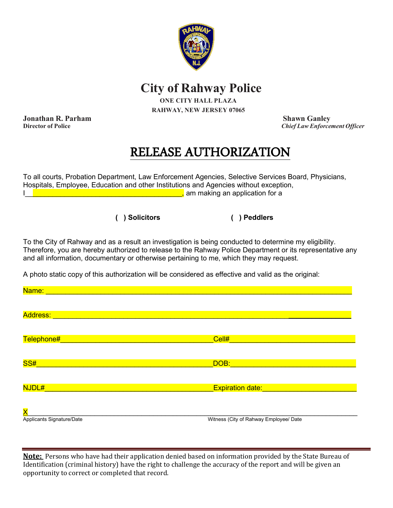

 **City of Rahway Police**

**ONE CITY HALL PLAZA RAHWAY, NEW JERSEY 07065**

**Jonathan R. Parham Shawn Ganley**<br> **Director of Police** Shawn Ganley<br> **Shawn Ganley** 

**Director of Police** *Chief Law Enforcement Officer*

### RELEASE AUTHORIZATION

To all courts, Probation Department, Law Enforcement Agencies, Selective Services Board, Physicians, Hospitals, Employee, Education and other Institutions and Agencies without exception, I\_\_\_\_\_\_\_\_\_\_\_\_\_\_\_\_\_\_\_\_\_\_\_\_\_\_\_\_\_\_\_\_\_\_\_\_\_\_\_\_, am making an application for a

**( ) Solicitors ( ) Peddlers**

To the City of Rahway and as a result an investigation is being conducted to determine my eligibility. Therefore, you are hereby authorized to release to the Rahway Police Department or its representative any and all information, documentary or otherwise pertaining to me, which they may request.

A photo static copy of this authorization will be considered as effective and valid as the original:

| Name:                     |                                        |
|---------------------------|----------------------------------------|
|                           |                                        |
| <b>Address:</b>           |                                        |
|                           |                                        |
| Telephone#                | Cell#                                  |
|                           |                                        |
| SS#                       | DOB:                                   |
|                           |                                        |
| NJDL#                     | <b>Expiration date:</b>                |
|                           |                                        |
| $\overline{\mathsf{X}}$   |                                        |
| Applicants Signature/Date | Witness (City of Rahway Employee/ Date |

**Note:** Persons who have had their application denied based on information provided by the State Bureau of Identification (criminal history) have the right to challenge the accuracy of the report and will be given an opportunity to correct or completed that record.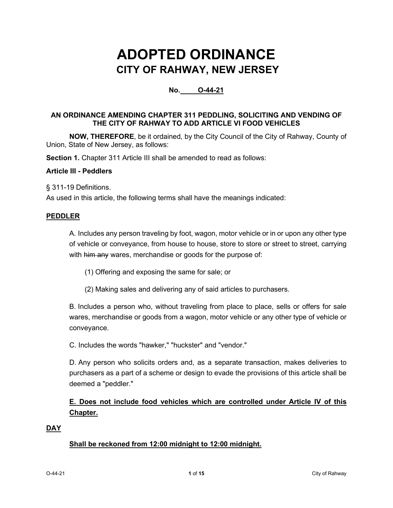### **ADOPTED ORDINANCE CITY OF RAHWAY, NEW JERSEY**

#### **No. O-44-21**

#### **AN ORDINANCE AMENDING CHAPTER 311 PEDDLING, SOLICITING AND VENDING OF THE CITY OF RAHWAY TO ADD ARTICLE VI FOOD VEHICLES**

**NOW, THEREFORE**, be it ordained, by the City Council of the City of Rahway, County of Union, State of New Jersey, as follows:

**Section 1.** Chapter 311 Article III shall be amended to read as follows:

#### **Article III - Peddlers**

§ [311-19 Definitions.](https://ecode360.com/9584627#9584564)

As used in this article, the following terms shall have the meanings indicated:

#### **[PEDDLER](https://ecode360.com/9584565#9584565)**

[A.](https://ecode360.com/9584566#9584566) Includes any person traveling by foot, wagon, motor vehicle or in or upon any other type of vehicle or conveyance, from house to house, store to store or street to street, carrying with him any wares, merchandise or goods for the purpose of:

- [\(1\)](https://ecode360.com/9584567#9584567) Offering and exposing the same for sale; or
- [\(2\)](https://ecode360.com/9584568#9584568) Making sales and delivering any of said articles to purchasers.

[B.](https://ecode360.com/9584569#9584569) Includes a person who, without traveling from place to place, sells or offers for sale wares, merchandise or goods from a wagon, motor vehicle or any other type of vehicle or conveyance.

[C.](https://ecode360.com/9584570#9584570) Includes the words "hawker," "huckster" and "vendor."

[D.](https://ecode360.com/9584571#9584571) Any person who solicits orders and, as a separate transaction, makes deliveries to purchasers as a part of a scheme or design to evade the provisions of this article shall be deemed a "peddler."

#### **E. Does not include food vehicles which are controlled under Article IV of this Chapter.**

#### **[DAY](https://ecode360.com/9584639#9584639)**

#### **Shall be reckoned from 12:00 midnight to 12:00 midnight.**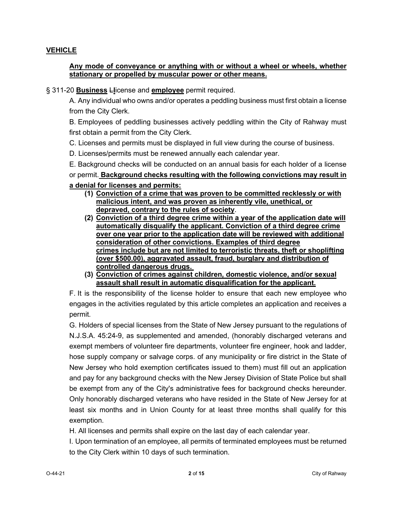#### **[VEHICLE](https://ecode360.com/9584640#9584640)**

#### **Any mode of conveyance or anything with or without a wheel or wheels, whether stationary or propelled by muscular power or other means.**

§ 311-20 **Business** L**l**icense and **employee** [permit required.](https://ecode360.com/9584627#9584572)

[A.](https://ecode360.com/9584573#9584573) Any individual who owns and/or operates a peddling business must first obtain a license from the City Clerk.

[B.](https://ecode360.com/9584574#9584574) Employees of peddling businesses actively peddling within the City of Rahway must first obtain a permit from the City Clerk.

- [C.](https://ecode360.com/9584575#9584575) Licenses and permits must be displayed in full view during the course of business.
- [D.](https://ecode360.com/9584576#9584576) Licenses/permits must be renewed annually each calendar year.
- [E.](https://ecode360.com/9584577#9584577) Background checks will be conducted on an annual basis for each holder of a license

#### or permit. **Background checks resulting with the following convictions may result in a denial for licenses and permits:**

- **(1) Conviction of a crime that was proven to be committed recklessly or with malicious intent, and was proven as inherently vile, unethical, or depraved, contrary to the rules of society**.
- **(2) Conviction of a third degree crime within a year of the application date will automatically disqualify the applicant. Conviction of a third degree crime over one year prior to the application date will be reviewed with additional consideration of other convictions. Examples of third degree crimes include but are not limited to terroristic threats, theft or shoplifting (over \$500.00), aggravated assault, fraud, burglary and distribution of controlled dangerous drugs.**
- **(3) Conviction of crimes against children, domestic violence, and/or sexual assault shall result in automatic disqualification for the applicant.**

[F.](https://ecode360.com/9584578#9584578) It is the responsibility of the license holder to ensure that each new employee who engages in the activities regulated by this article completes an application and receives a permit.

[G.](https://ecode360.com/9584579#9584579) Holders of special licenses from the State of New Jersey pursuant to the regulations of N.J.S.A. 45:24-9, as supplemented and amended, (honorably discharged veterans and exempt members of volunteer fire departments, volunteer fire engineer, hook and ladder, hose supply company or salvage corps. of any municipality or fire district in the State of New Jersey who hold exemption certificates issued to them) must fill out an application and pay for any background checks with the New Jersey Division of State Police but shall be exempt from any of the City's administrative fees for background checks hereunder. Only honorably discharged veterans who have resided in the State of New Jersey for at least six months and in Union County for at least three months shall qualify for this exemption.

[H.](https://ecode360.com/9584580#9584580) All licenses and permits shall expire on the last day of each calendar year.

[I.](https://ecode360.com/9584581#9584581) Upon termination of an employee, all permits of terminated employees must be returned to the City Clerk within 10 days of such termination.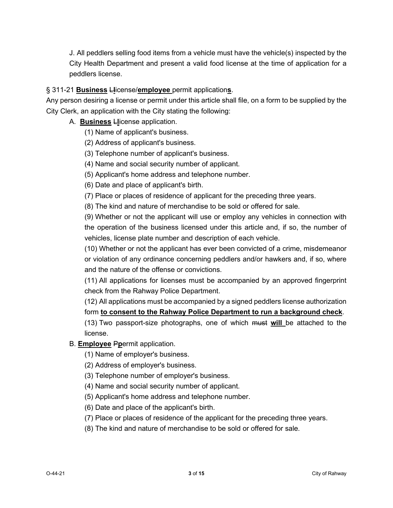[J.](https://ecode360.com/15694251#15694251) All peddlers selling food items from a vehicle must have the vehicle(s) inspected by the City Health Department and present a valid food license at the time of application for a peddlers license.

#### § 311-21 **Business** L**l**icense/**employee** [permit application](https://ecode360.com/9584627#9584582)**s**.

Any person desiring a license or permit under this article shall file, on a form to be supplied by the City Clerk, an application with the City stating the following:

- [A.](https://ecode360.com/9584583#9584583) **Business** L**l**icense application.
	- [\(1\)](https://ecode360.com/9584584#9584584) Name of applicant's business.
	- [\(2\)](https://ecode360.com/9584585#9584585) Address of applicant's business.
	- [\(3\)](https://ecode360.com/9584586#9584586) Telephone number of applicant's business.
	- [\(4\)](https://ecode360.com/9584587#9584587) Name and social security number of applicant.
	- [\(5\)](https://ecode360.com/9584588#9584588) Applicant's home address and telephone number.
	- [\(6\)](https://ecode360.com/9584589#9584589) Date and place of applicant's birth.
	- [\(7\)](https://ecode360.com/9584590#9584590) Place or places of residence of applicant for the preceding three years.
	- [\(8\)](https://ecode360.com/9584591#9584591) The kind and nature of merchandise to be sold or offered for sale.

[\(9\)](https://ecode360.com/9584592#9584592) Whether or not the applicant will use or employ any vehicles in connection with the operation of the business licensed under this article and, if so, the number of vehicles, license plate number and description of each vehicle.

[\(10\)](https://ecode360.com/9584593#9584593) Whether or not the applicant has ever been convicted of a crime, misdemeanor or violation of any ordinance concerning peddlers and/or hawkers and, if so, where and the nature of the offense or convictions.

[\(11\)](https://ecode360.com/9584594#9584594) All applications for licenses must be accompanied by an approved fingerprint check from the Rahway Police Department.

[\(12\)](https://ecode360.com/9584595#9584595) All applications must be accompanied by a signed peddlers license authorization form **to consent to the Rahway Police Department to run a background check**.

[\(13\)](https://ecode360.com/9584596#9584596) Two passport-size photographs, one of which must **will** be attached to the license.

#### [B.](https://ecode360.com/9584597#9584597) **Employee** P**p**ermit application.

- [\(1\)](https://ecode360.com/9584598#9584598) Name of employer's business.
- [\(2\)](https://ecode360.com/9584599#9584599) Address of employer's business.
- [\(3\)](https://ecode360.com/9584600#9584600) Telephone number of employer's business.
- [\(4\)](https://ecode360.com/9584601#9584601) Name and social security number of applicant.
- [\(5\)](https://ecode360.com/9584602#9584602) Applicant's home address and telephone number.
- [\(6\)](https://ecode360.com/9584603#9584603) Date and place of the applicant's birth.
- [\(7\)](https://ecode360.com/9584604#9584604) Place or places of residence of the applicant for the preceding three years.
- [\(8\)](https://ecode360.com/9584605#9584605) The kind and nature of merchandise to be sold or offered for sale.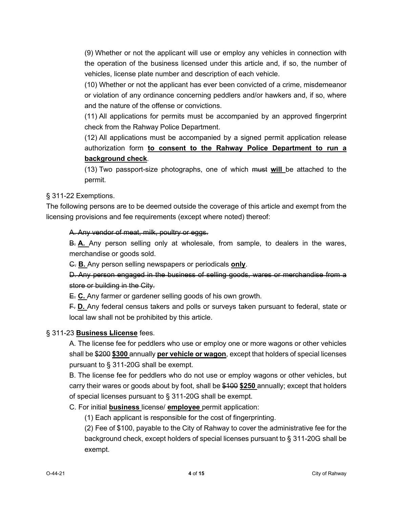[\(9\)](https://ecode360.com/9584606#9584606) Whether or not the applicant will use or employ any vehicles in connection with the operation of the business licensed under this article and, if so, the number of vehicles, license plate number and description of each vehicle.

[\(10\)](https://ecode360.com/9584607#9584607) Whether or not the applicant has ever been convicted of a crime, misdemeanor or violation of any ordinance concerning peddlers and/or hawkers and, if so, where and the nature of the offense or convictions.

[\(11\)](https://ecode360.com/9584608#9584608) All applications for permits must be accompanied by an approved fingerprint check from the Rahway Police Department.

[\(12\)](https://ecode360.com/9584609#9584609) All applications must be accompanied by a signed permit application release authorization form **to consent to the Rahway Police Department to run a background check**.

[\(13\)](https://ecode360.com/9584610#9584610) Two passport-size photographs, one of which must **will** be attached to the permit.

§ [311-22 Exemptions.](https://ecode360.com/9584627#9584611)

The following persons are to be deemed outside the coverage of this article and exempt from the licensing provisions and fee requirements (except where noted) thereof:

[A.](https://ecode360.com/9584612#9584612) Any vendor of meat, milk, poultry or eggs.

[B.](https://ecode360.com/9584613#9584613) **A.** Any person selling only at wholesale, from sample, to dealers in the wares, merchandise or goods sold.

[C.](https://ecode360.com/9584614#9584614) **B.** Any person selling newspapers or periodicals **only**.

#### [D.](https://ecode360.com/9584615#9584615) Any person engaged in the business of selling goods, wares or merchandise from a store or building in the City.

[E.](https://ecode360.com/9584616#9584616) **C.** Any farmer or gardener selling goods of his own growth.

[F.](https://ecode360.com/9584617#9584617) **D.** Any federal census takers and polls or surveys taken pursuant to federal, state or local law shall not be prohibited by this article.

#### § 311-23 **[Business Llicense](https://ecode360.com/9584627#9584618)** fees.

[A.](https://ecode360.com/9584619#9584619) The license fee for peddlers who use or employ one or more wagons or other vehicles shall be \$200 **\$300** annually **per vehicle or wagon**, except that holders of special licenses pursuant to § [311-20G](https://ecode360.com/9584579#9584579) shall be exempt.

[B.](https://ecode360.com/9584620#9584620) The license fee for peddlers who do not use or employ wagons or other vehicles, but carry their wares or goods about by foot, shall be \$100 **\$250** annually; except that holders of special licenses pursuant to § [311-20G](https://ecode360.com/9584579#9584579) shall be exempt.

[C.](https://ecode360.com/9584621#9584621) For initial **business** license/ **employee** permit application:

[\(1\)](https://ecode360.com/9584622#9584622) Each applicant is responsible for the cost of fingerprinting.

[\(2\)](https://ecode360.com/9584623#9584623) Fee of \$100, payable to the City of Rahway to cover the administrative fee for the background check, except holders of special licenses pursuant to § [311-20G](https://ecode360.com/9584579#9584579) shall be exempt.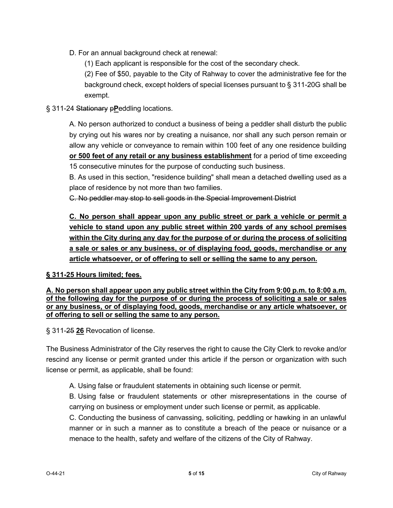[D.](https://ecode360.com/9584624#9584624) For an annual background check at renewal:

[\(1\)](https://ecode360.com/9584625#9584625) Each applicant is responsible for the cost of the secondary check.

[\(2\)](https://ecode360.com/9584626#9584626) Fee of \$50, payable to the City of Rahway to cover the administrative fee for the background check, except holders of special licenses pursuant to § [311-20G](https://ecode360.com/9584579#9584579) shall be exempt.

#### § [311-24 Stationary](https://ecode360.com/9584627#9584627) p**P**eddling locations.

[A.](https://ecode360.com/9584628#9584628) No person authorized to conduct a business of being a peddler shall disturb the public by crying out his wares nor by creating a nuisance, nor shall any such person remain or allow any vehicle or conveyance to remain within 100 feet of any one residence building **or 500 feet of any retail or any business establishment** for a period of time exceeding 15 consecutive minutes for the purpose of conducting such business.

[B.](https://ecode360.com/9584629#9584629) As used in this section, "residence building" shall mean a detached dwelling used as a place of residence by not more than two families.

[C.](https://ecode360.com/15694252#15694252) No peddler may stop to sell goods in the Special Improvement District

**C. No person shall appear upon any public street or park a vehicle or permit a vehicle to stand upon any public street within 200 yards of any school premises within the City during any day for the purpose of or during the process of soliciting a sale or sales or any business, or of displaying food, goods, merchandise or any article whatsoever, or of offering to sell or selling the same to any person.**

#### **§ [311-25 Hours limited; fees.](https://ecode360.com/9584636#9584643)**

**[A.](https://ecode360.com/9584644#9584644) No person shall appear upon any public street within the City from 9:00 p.m. to 8:00 a.m. of the following day for the purpose of or during the process of soliciting a sale or sales or any business, or of displaying food, goods, merchandise or any article whatsoever, or of offering to sell or selling the same to any person.**

§ 311-25 **26** [Revocation of license.](https://ecode360.com/9584627#9584630)

The Business Administrator of the City reserves the right to cause the City Clerk to revoke and/or rescind any license or permit granted under this article if the person or organization with such license or permit, as applicable, shall be found:

[A.](https://ecode360.com/9584631#9584631) Using false or fraudulent statements in obtaining such license or permit.

[B.](https://ecode360.com/9584632#9584632) Using false or fraudulent statements or other misrepresentations in the course of carrying on business or employment under such license or permit, as applicable.

[C.](https://ecode360.com/9584633#9584633) Conducting the business of canvassing, soliciting, peddling or hawking in an unlawful manner or in such a manner as to constitute a breach of the peace or nuisance or a menace to the health, safety and welfare of the citizens of the City of Rahway.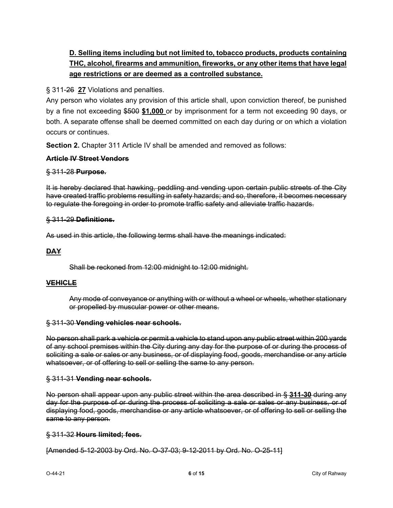#### **D. Selling items including but not limited to, tobacco products, products containing THC, alcohol, firearms and ammunition, fireworks, or any other items that have legal age restrictions or are deemed as a controlled substance.**

§ 311-26 **27** [Violations and penalties.](https://ecode360.com/9584627#9584634)

Any person who violates any provision of this article shall, upon conviction thereof, be punished by a fine not exceeding \$500 **\$1,000** or by imprisonment for a term not exceeding 90 days, or both. A separate offense shall be deemed committed on each day during or on which a violation occurs or continues.

**Section 2.** Chapter 311 Article IV shall be amended and removed as follows:

#### **Article IV Street Vendors**

#### § 311-28 **[Purpose.](https://ecode360.com/9584636#9584637)**

It is hereby declared that hawking, peddling and vending upon certain public streets of the City have created traffic problems resulting in safety hazards; and so, therefore, it becomes necessary to regulate the foregoing in order to promote traffic safety and alleviate traffic hazards.

#### § 311-29 **[Definitions.](https://ecode360.com/9584636#9584638)**

As used in this article, the following terms shall have the meanings indicated:

#### **[DAY](https://ecode360.com/9584639#9584639)**

Shall be reckoned from 12:00 midnight to 12:00 midnight.

#### **[VEHICLE](https://ecode360.com/9584640#9584640)**

Any mode of conveyance or anything with or without a wheel or wheels, whether stationary or propelled by muscular power or other means.

#### § 311-30 **[Vending vehicles near schools.](https://ecode360.com/9584636#9584641)**

No person shall park a vehicle or permit a vehicle to stand upon any public street within 200 yards of any school premises within the City during any day for the purpose of or during the process of soliciting a sale or sales or any business, or of displaying food, goods, merchandise or any article whatsoever, or of offering to sell or selling the same to any person.

#### § 311-31 **[Vending near schools.](https://ecode360.com/9584636#9584642)**

No person shall appear upon any public street within the area described in § **[311-30](https://ecode360.com/9584641#9584641)** during any day for the purpose of or during the process of soliciting a sale or sales or any business, or of displaying food, goods, merchandise or any article whatsoever, or of offering to sell or selling the same to any person.

#### § 311-32 **[Hours limited; fees.](https://ecode360.com/9584636#9584643)**

[Amended 5-12-2003 by Ord. No. O-37-03; 9-12-2011 by Ord. No. O-25-11]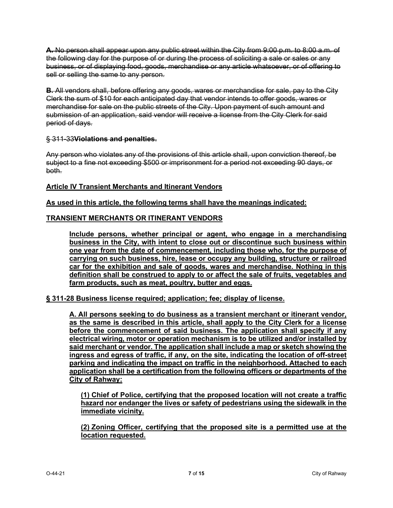**[A.](https://ecode360.com/9584644#9584644)** No person shall appear upon any public street within the City from 9:00 p.m. to 8:00 a.m. of the following day for the purpose of or during the process of soliciting a sale or sales or any business, or of displaying food, goods, merchandise or any article whatsoever, or of offering to sell or selling the same to any person.

**[B.](https://ecode360.com/9584645#9584645)** All vendors shall, before offering any goods, wares or merchandise for sale, pay to the City Clerk the sum of \$10 for each anticipated day that vendor intends to offer goods, wares or merchandise for sale on the public streets of the City. Upon payment of such amount and submission of an application, said vendor will receive a license from the City Clerk for said period of days.

#### § 311-33**[Violations and penalties.](https://ecode360.com/9584636#9584646)**

Any person who violates any of the provisions of this article shall, upon conviction thereof, be subject to a fine not exceeding \$500 or imprisonment for a period not exceeding 90 days, or both.

#### **[Article](https://ecode360.com/9584647#9584648) IV Transient Merchants and Itinerant Vendors**

**As used in this article, the following terms shall have the meanings indicated:**

#### **[TRANSIENT MERCHANTS OR ITINERANT VENDORS](https://ecode360.com/9584649#9584649)**

**Include persons, whether principal or agent, who engage in a merchandising business in the City, with intent to close out or discontinue such business within one year from the date of commencement, including those who, for the purpose of carrying on such business, hire, lease or occupy any building, structure or railroad car for the exhibition and sale of goods, wares and merchandise. Nothing in this definition shall be construed to apply to or affect the sale of fruits, vegetables and farm products, such as meat, poultry, butter and eggs.**

**§ [311-28 Business license required; application; fee; display of license.](https://ecode360.com/9584647#9584650)**

**[A.](https://ecode360.com/9584651#9584651) All persons seeking to do business as a transient merchant or itinerant vendor, as the same is described in this article, shall apply to the City Clerk for a license before the commencement of said business. The application shall specify if any electrical wiring, motor or operation mechanism is to be utilized and/or installed by said merchant or vendor. The application shall include a map or sketch showing the ingress and egress of traffic, if any, on the site, indicating the location of off-street parking and indicating the impact on traffic in the neighborhood. Attached to each application shall be a certification from the following officers or departments of the City of Rahway:**

**[\(1\)](https://ecode360.com/9584652#9584652) Chief of Police, certifying that the proposed location will not create a traffic hazard nor endanger the lives or safety of pedestrians using the sidewalk in the immediate vicinity.**

**[\(2\)](https://ecode360.com/9584653#9584653) Zoning Officer, certifying that the proposed site is a permitted use at the location requested.**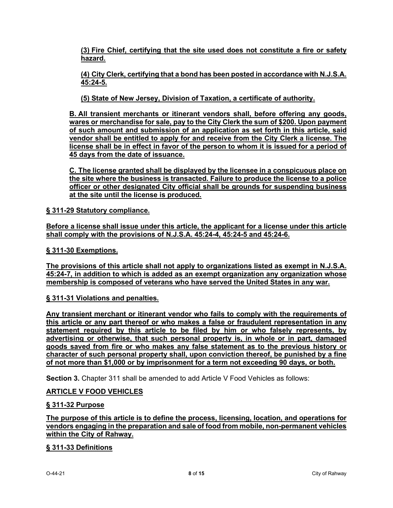**[\(3\)](https://ecode360.com/9584654#9584654) Fire Chief, certifying that the site used does not constitute a fire or safety hazard.**

**[\(4\)](https://ecode360.com/9584655#9584655) City Clerk, certifying that a bond has been posted in accordance with N.J.S.A. 45:24-5.**

**[\(5\)](https://ecode360.com/9584656#9584656) State of New Jersey, Division of Taxation, a certificate of authority.**

**[B.](https://ecode360.com/9584657#9584657) All transient merchants or itinerant vendors shall, before offering any goods, wares or merchandise for sale, pay to the City Clerk the sum of \$200. Upon payment of such amount and submission of an application as set forth in this article, said vendor shall be entitled to apply for and receive from the City Clerk a license. The license shall be in effect in favor of the person to whom it is issued for a period of 45 days from the date of issuance.**

**[C.](https://ecode360.com/9584658#9584658) The license granted shall be displayed by the licensee in a conspicuous place on the site where the business is transacted. Failure to produce the license to a police officer or other designated City official shall be grounds for suspending business at the site until the license is produced.**

**§ [311-29 Statutory compliance.](https://ecode360.com/9584647#9584659)**

**Before a license shall issue under this article, the applicant for a license under this article shall comply with the provisions of N.J.S.A. 45:24-4, 45:24-5 and 45:24-6.**

**§ [311-30 Exemptions.](https://ecode360.com/9584647#9584660)**

**The provisions of this article shall not apply to organizations listed as exempt in N.J.S.A. 45:24-7, in addition to which is added as an exempt organization any organization whose membership is composed of veterans who have served the United States in any war.**

**§ [311-31 Violations and penalties.](https://ecode360.com/9584647#9584661)**

**Any transient merchant or itinerant vendor who fails to comply with the requirements of this article or any part thereof or who makes a false or fraudulent representation in any statement required by this article to be filed by him or who falsely represents, by advertising or otherwise, that such personal property is, in whole or in part, damaged goods saved from fire or who makes any false statement as to the previous history or character of such personal property shall, upon conviction thereof, be punished by a fine of not more than \$1,000 or by imprisonment for a term not exceeding 90 days, or both.**

**Section 3.** Chapter 311 shall be amended to add Article V Food Vehicles as follows:

#### **ARTICLE V FOOD VEHICLES**

#### **§ 311-32 Purpose**

**The purpose of this article is to define the process, licensing, location, and operations for vendors engaging in the preparation and sale of food from mobile, non-permanent vehicles within the City of Rahway.**

#### **§ 311-33 Definitions**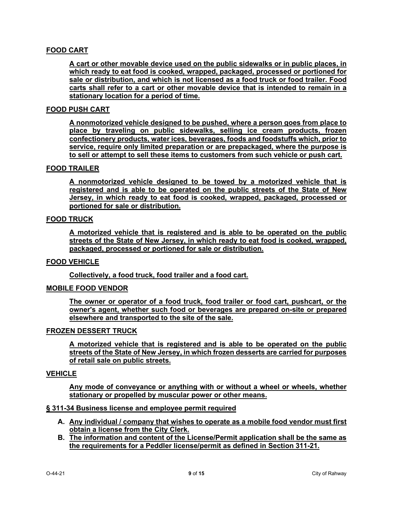#### **[FOOD CART](http://ecode360.com/30873503#30873503)**

**A cart or other movable device used on the public sidewalks or in public places, in which ready to eat food is cooked, wrapped, packaged, processed or portioned for sale or distribution, and which is not licensed as a food truck or food trailer. Food carts shall refer to a cart or other movable device that is intended to remain in a stationary location for a period of time.**

#### **FOOD PUSH CART**

**A nonmotorized vehicle designed to be pushed, where a person goes from place to place by traveling on public sidewalks, selling ice cream products, frozen confectionery products, water ices, beverages, foods and foodstuffs which, prior to service, require only limited preparation or are prepackaged, where the purpose is to sell or attempt to sell these items to customers from such vehicle or push cart.**

#### **[FOOD TRAILER](http://ecode360.com/30873504#30873504)**

**A nonmotorized vehicle designed to be towed by a motorized vehicle that is registered and is able to be operated on the public streets of the State of New Jersey, in which ready to eat food is cooked, wrapped, packaged, processed or portioned for sale or distribution.**

#### **[FOOD TRUCK](http://ecode360.com/30873505#30873505)**

**A motorized vehicle that is registered and is able to be operated on the public streets of the State of New Jersey, in which ready to eat food is cooked, wrapped, packaged, processed or portioned for sale or distribution.**

#### **[FOOD VEHICLE](http://ecode360.com/30873506#30873506)**

**Collectively, a food truck, food trailer and a food cart.**

#### **MOBILE [FOOD VENDOR](http://ecode360.com/30873507#30873507)**

**The owner or operator of a food truck, food trailer or food cart, pushcart, or the owner's agent, whether such food or beverages are prepared on-site or prepared elsewhere and transported to the site of the sale.**

#### **FROZEN DESSERT TRUCK**

**A motorized vehicle that is registered and is able to be operated on the public streets of the State of New Jersey, in which frozen desserts are carried for purposes of retail sale on public streets.**

#### **[VEHICLE](https://ecode360.com/9584640#9584640)**

**Any mode of conveyance or anything with or without a wheel or wheels, whether stationary or propelled by muscular power or other means.**

#### **§ 311-34 Business license and employee permit required**

- **A. Any individual / company that wishes to operate as a mobile food vendor must first obtain a license from the City Clerk.**
- **B. The information and content of the License/Permit application shall be the same as the requirements for a Peddler license/permit as defined in Section 311-21.**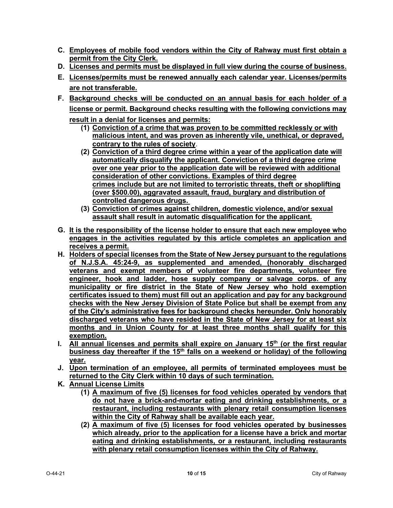- **C. Employees of mobile food vendors within the City of Rahway must first obtain a permit from the City Clerk.**
- **D. Licenses and permits must be displayed in full view during the course of business.**
- **E. Licenses/permits must be renewed annually each calendar year. Licenses/permits are not transferable.**
- **F. Background checks will be conducted on an annual basis for each holder of a license or permit. Background checks resulting with the following convictions may result in a denial for licenses and permits:**
	- **(1) Conviction of a crime that was proven to be committed recklessly or with malicious intent, and was proven as inherently vile, unethical, or depraved, contrary to the rules of society**.
	- **(2) Conviction of a third degree crime within a year of the application date will automatically disqualify the applicant. Conviction of a third degree crime over one year prior to the application date will be reviewed with additional consideration of other convictions. Examples of third degree crimes include but are not limited to terroristic threats, theft or shoplifting (over \$500.00), aggravated assault, fraud, burglary and distribution of controlled dangerous drugs.**
	- **(3) Conviction of crimes against children, domestic violence, and/or sexual assault shall result in automatic disqualification for the applicant.**
- **G. It is the responsibility of the license holder to ensure that each new employee who engages in the activities regulated by this article completes an application and receives a permit.**
- **H. Holders of special licenses from the State of New Jersey pursuant to the regulations of N.J.S.A. 45:24-9, as supplemented and amended, (honorably discharged veterans and exempt members of volunteer fire departments, volunteer fire engineer, hook and ladder, hose supply company or salvage corps. of any municipality or fire district in the State of New Jersey who hold exemption certificates issued to them) must fill out an application and pay for any background checks with the New Jersey Division of State Police but shall be exempt from any of the City's administrative fees for background checks hereunder. Only honorably discharged veterans who have resided in the State of New Jersey for at least six months and in Union County for at least three months shall qualify for this exemption.**
- **I.** All annual licenses and permits shall expire on January 15<sup>th</sup> (or the first regular business day thereafter if the 15<sup>th</sup> falls on a weekend or holiday) of the following **year.**
- **J. Upon termination of an employee, all permits of terminated employees must be returned to the City Clerk within 10 days of such termination.**
- **K. Annual License Limits** 
	- **(1) A maximum of five (5) licenses for food vehicles operated by vendors that do not have a brick-and-mortar eating and drinking establishments, or a restaurant, including restaurants with plenary retail consumption licenses within the City of Rahway shall be available each year.**
	- **(2) A maximum of five (5) licenses for food vehicles operated by businesses which already, prior to the application for a license have a brick and mortar eating and drinking establishments, or a restaurant, including restaurants with plenary retail consumption licenses within the City of Rahway.**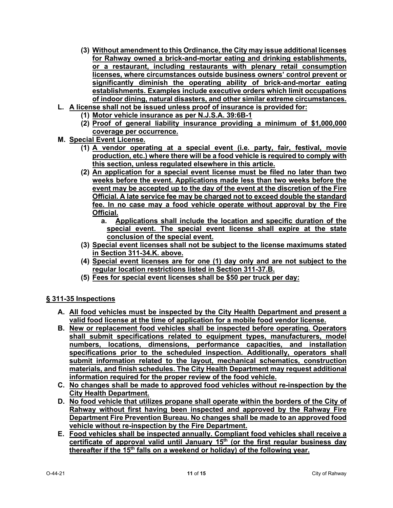- **(3) Without amendment to this Ordinance, the City may issue additional licenses for Rahway owned a brick-and-mortar eating and drinking establishments, or a restaurant, including restaurants with plenary retail consumption licenses, where circumstances outside business owners' control prevent or significantly diminish the operating ability of brick-and-mortar eating establishments. Examples include executive orders which limit occupations of indoor dining, natural disasters, and other similar extreme circumstances.**
- **L. A license shall not be issued unless proof of insurance is provided for:**
	- **(1) Motor vehicle insurance as per N.J.S.A. 39:6B-1**
	- **(2) Proof of general liability insurance providing a minimum of \$1,000,000 coverage per occurrence.**
- **M. Special Event License.**
	- **(1) A vendor operating at a special event (i.e. party, fair, festival, movie production, etc.) where there will be a food vehicle is required to comply with this section, unless regulated elsewhere in this article.**
	- **(2) An application for a special event license must be filed no later than two weeks before the event. Applications made less than two weeks before the event may be accepted up to the day of the event at the discretion of the Fire Official. A late service fee may be charged not to exceed double the standard fee. In no case may a food vehicle operate without approval by the Fire Official.**
		- **a. Applications shall include the location and specific duration of the special event. The special event license shall expire at the state conclusion of the special event.**
	- **(3) Special event licenses shall not be subject to the license maximums stated in Section 311-34.K. above.**
	- **(4) Special event licenses are for one (1) day only and are not subject to the regular location restrictions listed in Section 311-37.B.**
	- **(5) Fees for special event licenses shall be \$50 per truck per day:**

#### **§ 311-35 Inspections**

- **A. All food vehicles must be inspected by the City Health Department and present a valid food license at the time of application for a mobile food vendor license.**
- **B. New or replacement food vehicles shall be inspected before operating. Operators shall submit specifications related to equipment types, manufacturers, model numbers, locations, dimensions, performance capacities, and installation specifications prior to the scheduled inspection. Additionally, operators shall submit information related to the layout, mechanical schematics, construction materials, and finish schedules. The City Health Department may request additional information required for the proper review of the food vehicle.**
- **C. No changes shall be made to approved food vehicles without re-inspection by the City Health Department.**
- **D. No food vehicle that utilizes propane shall operate within the borders of the City of Rahway without first having been inspected and approved by the Rahway Fire Department Fire Prevention Bureau. No changes shall be made to an approved food vehicle without re-inspection by the Fire Department.**
- **E. Food vehicles shall be inspected annually. Compliant food vehicles shall receive a certificate of approval valid until January 15th (or the first regular business day thereafter if the 15th falls on a weekend or holiday) of the following year.**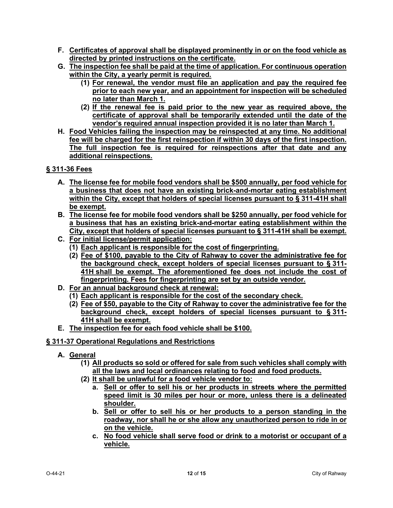- **F. Certificates of approval shall be displayed prominently in or on the food vehicle as directed by printed instructions on the certificate.**
- **G. The inspection fee shall be paid at the time of application. For continuous operation within the City, a yearly permit is required.** 
	- **(1) For renewal, the vendor must file an application and pay the required fee prior to each new year, and an appointment for inspection will be scheduled no later than March 1.**
	- **(2) If the renewal fee is paid prior to the new year as required above, the certificate of approval shall be temporarily extended until the date of the vendor's required annual inspection provided it is no later than March 1.**
- **H. Food Vehicles failing the inspection may be reinspected at any time. No additional fee will be charged for the first reinspection if within 30 days of the first inspection. The full inspection fee is required for reinspections after that date and any additional reinspections.**

#### **§ 311-36 Fees**

- **A. The license fee for mobile food vendors shall be \$500 annually, per food vehicle for a business that does not have an existing brick-and-mortar eating establishment within the City, except that holders of special licenses pursuant to § [311-41H](https://ecode360.com/9584579#9584579) shall be exempt.**
- **B. The license fee for mobile food vendors shall be \$250 annually, per food vehicle for a business that has an existing brick-and-mortar eating establishment within the City, except that holders of special licenses pursuant to § [311-41H](https://ecode360.com/9584579#9584579) shall be exempt.**
- **C. For initial license/permit application:**
	- **(1) Each applicant is responsible for the cost of fingerprinting.**
	- **(2) Fee of \$100, payable to the City of Rahway to cover the administrative fee for the background check, except holders of special licenses pursuant to § [311-](https://ecode360.com/9584579#9584579) [41H](https://ecode360.com/9584579#9584579) shall be exempt. The aforementioned fee does not include the cost of fingerprinting. Fees for fingerprinting are set by an outside vendor.**
- **D. For an annual background check at renewal:**
	- **(1) Each applicant is responsible for the cost of the secondary check.**
	- **(2) Fee of \$50, payable to the City of Rahway to cover the administrative fee for the background check, except holders of special licenses pursuant to § [311-](https://ecode360.com/9584579#9584579) [41H](https://ecode360.com/9584579#9584579) shall be exempt.**
- **E. The inspection fee for each food vehicle shall be \$100.**

#### **§ 311-37 Operational Regulations and Restrictions**

- **A. General**
	- **(1) All products so sold or offered for sale from such vehicles shall comply with all the laws and local ordinances relating to food and food products.**
	- **(2) It shall be unlawful for a food vehicle vendor to:**
		- **a. Sell or offer to sell his or her products in streets where the permitted speed limit is 30 miles per hour or more, unless there is a delineated shoulder.**
		- **b. Sell or offer to sell his or her products to a person standing in the roadway, nor shall he or she allow any unauthorized person to ride in or on the vehicle.**
		- **c. No food vehicle shall serve food or drink to a motorist or occupant of a vehicle.**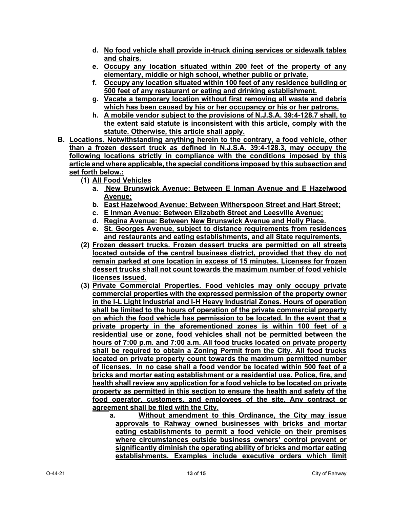- **d. No food vehicle shall provide in-truck dining services or sidewalk tables and chairs.**
- **e. Occupy any location situated within 200 feet of the property of any elementary, middle or high school, whether public or private.**
- **f. Occupy any location situated within 100 feet of any residence building or 500 feet of any restaurant or eating and drinking establishment.**
- **g. Vacate a temporary location without first removing all waste and debris which has been caused by his or her occupancy or his or her patrons.**
- **h. A mobile vendor subject to the provisions of N.J.S.A. 39:4-128.7 shall, to the extent said statute is inconsistent with this article, comply with the statute. Otherwise, this article shall apply.**
- **B. Locations. Notwithstanding anything herein to the contrary, a food vehicle, other than a frozen dessert truck as defined in N.J.S.A. 39:4-128.3, may occupy the following locations strictly in compliance with the conditions imposed by this article and where applicable, the special conditions imposed by this subsection and set forth below.:**
	- **(1) All Food Vehicles**
		- **a. New Brunswick Avenue: Between E Inman Avenue and E Hazelwood Avenue;**
		- **b. East Hazelwood Avenue: Between Witherspoon Street and Hart Street;**
		- **c. E Inman Avenue: Between Elizabeth Street and Leesville Avenue;**
		- **d. Regina Avenue: Between New Brunswick Avenue and Holly Place.**
		- **e. St. Georges Avenue, subject to distance requirements from residences and restaurants and eating establishments, and all State requirements.**
	- **(2) Frozen dessert trucks. Frozen dessert trucks are permitted on all streets located outside of the central business district, provided that they do not remain parked at one location in excess of 15 minutes. Licenses for frozen dessert trucks shall not count towards the maximum number of food vehicle licenses issued.**
	- **(3) Private Commercial Properties. Food vehicles may only occupy private commercial properties with the expressed permission of the property owner in the I-L Light Industrial and I-H Heavy Industrial Zones. Hours of operation shall be limited to the hours of operation of the private commercial property on which the food vehicle has permission to be located. In the event that a private property in the aforementioned zones is within 100 feet of a residential use or zone, food vehicles shall not be permitted between the hours of 7:00 p.m. and 7:00 a.m. All food trucks located on private property shall be required to obtain a Zoning Permit from the City. All food trucks located on private property count towards the maximum permitted number of licenses. In no case shall a food vendor be located within 500 feet of a bricks and mortar eating establishment or a residential use. Police, fire, and health shall review any application for a food vehicle to be located on private property as permitted in this section to ensure the health and safety of the food operator, customers, and employees of the site. Any contract or agreement shall be filed with the City.**
		- **a. Without amendment to this Ordinance, the City may issue approvals to Rahway owned businesses with bricks and mortar eating establishments to permit a food vehicle on their premises where circumstances outside business owners' control prevent or significantly diminish the operating ability of bricks and mortar eating establishments. Examples include executive orders which limit**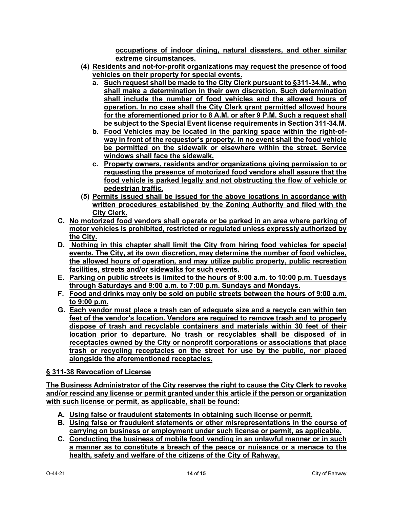**occupations of indoor dining, natural disasters, and other similar extreme circumstances.**

- **(4) Residents and not-for-profit organizations may request the presence of food vehicles on their property for special events.**
	- **a. Such request shall be made to the City Clerk pursuant to §311-34.M., who shall make a determination in their own discretion. Such determination shall include the number of food vehicles and the allowed hours of operation. In no case shall the City Clerk grant permitted allowed hours for the aforementioned prior to 8 A.M. or after 9 P.M. Such a request shall be subject to the Special Event license requirements in Section 311-34.M.**
	- **b. Food Vehicles may be located in the parking space within the right-ofway in front of the requestor's property. In no event shall the food vehicle be permitted on the sidewalk or elsewhere within the street. Service windows shall face the sidewalk.**
	- **c. Property owners, residents and/or organizations giving permission to or requesting the presence of motorized food vendors shall assure that the food vehicle is parked legally and not obstructing the flow of vehicle or pedestrian traffic.**
- **(5) Permits issued shall be issued for the above locations in accordance with written procedures established by the Zoning Authority and filed with the City Clerk.**
- **C. No motorized food vendors shall operate or be parked in an area where parking of motor vehicles is prohibited, restricted or regulated unless expressly authorized by the City.**
- **D. Nothing in this chapter shall limit the City from hiring food vehicles for special events. The City, at its own discretion, may determine the number of food vehicles, the allowed hours of operation, and may utilize public property, public recreation facilities, streets and/or sidewalks for such events.**
- **E. Parking on public streets is limited to the hours of 9:00 a.m. to 10:00 p.m. Tuesdays through Saturdays and 9:00 a.m. to 7:00 p.m. Sundays and Mondays.**
- **F. Food and drinks may only be sold on public streets between the hours of 9:00 a.m. to 9:00 p.m.**
- **G. Each vendor must place a trash can of adequate size and a recycle can within ten feet of the vendor's location. Vendors are required to remove trash and to properly dispose of trash and recyclable containers and materials within 30 feet of their location prior to departure. No trash or recyclables shall be disposed of in receptacles owned by the City or nonprofit corporations or associations that place trash or recycling receptacles on the street for use by the public, nor placed alongside the aforementioned receptacles.**

#### **§ 311-38 Revocation of License**

**The Business Administrator of the City reserves the right to cause the City Clerk to revoke and/or rescind any license or permit granted under this article if the person or organization with such license or permit, as applicable, shall be found:**

- **A. Using false or fraudulent statements in obtaining such license or permit.**
- **B. Using false or fraudulent statements or other misrepresentations in the course of carrying on business or employment under such license or permit, as applicable.**
- **C. Conducting the business of mobile food vending in an unlawful manner or in such a manner as to constitute a breach of the peace or nuisance or a menace to the health, safety and welfare of the citizens of the City of Rahway.**